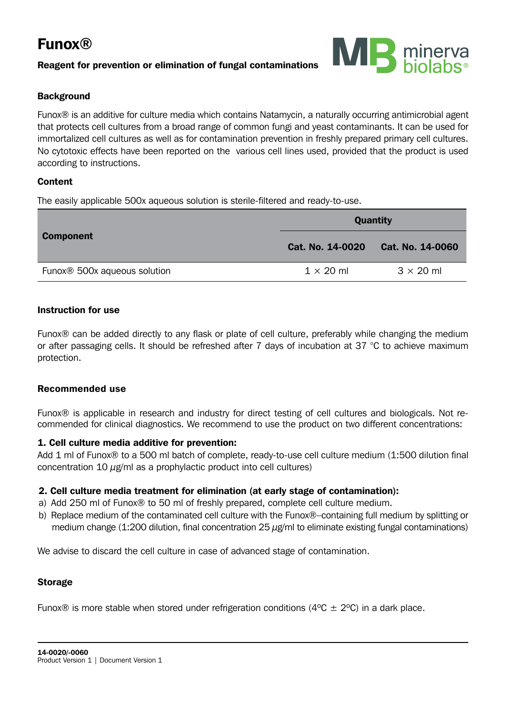# Funox®

# Reagent for prevention or elimination of fungal contaminations



# **Background**

Funox® is an additive for culture media which contains Natamycin, a naturally occurring antimicrobial agent that protects cell cultures from a broad range of common fungi and yeast contaminants. It can be used for immortalized cell cultures as well as for contamination prevention in freshly prepared primary cell cultures. No cytotoxic effects have been reported on the various cell lines used, provided that the product is used according to instructions.

# Content

The easily applicable 500x aqueous solution is sterile-filtered and ready-to-use.

| <b>Component</b>                         | Quantity         |                  |
|------------------------------------------|------------------|------------------|
|                                          | Cat. No. 14-0020 | Cat. No. 14-0060 |
| Funox <sup>®</sup> 500x aqueous solution | $1 \times 20$ ml | $3 \times 20$ ml |

# Instruction for use

Funox® can be added directly to any flask or plate of cell culture, preferably while changing the medium or after passaging cells. It should be refreshed after 7 days of incubation at 37 °C to achieve maximum protection.

#### Recommended use

Funox® is applicable in research and industry for direct testing of cell cultures and biologicals. Not recommended for clinical diagnostics. We recommend to use the product on two different concentrations:

#### 1. Cell culture media additive for prevention:

Add 1 ml of Funox® to a 500 ml batch of complete, ready-to-use cell culture medium (1:500 dilution final concentration 10  $\mu$ g/ml as a prophylactic product into cell cultures)

# 2. Cell culture media treatment for elimination (at early stage of contamination):

- a) Add 250 ml of Funox® to 50 ml of freshly prepared, complete cell culture medium.
- b) Replace medium of the contaminated cell culture with the Funox®–containing full medium by splitting or medium change (1:200 dilution, final concentration  $25 \mu$ g/ml to eliminate existing fungal contaminations)

We advise to discard the cell culture in case of advanced stage of contamination.

# Storage

Funox® is more stable when stored under refrigeration conditions ( $4^{\circ}$ C  $\pm$  2 $^{\circ}$ C) in a dark place.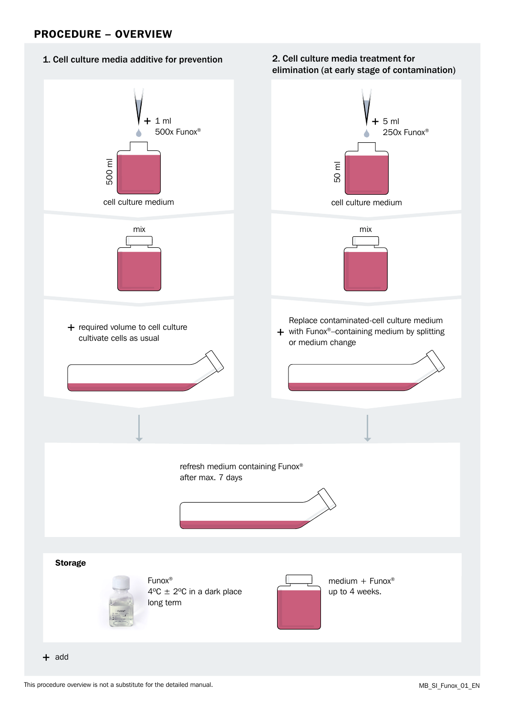# PROCEDURE – OVERVIEW

# 1. Cell culture media additive for prevention

#### 2. Cell culture media treatment for elimination (at early stage of contamination)